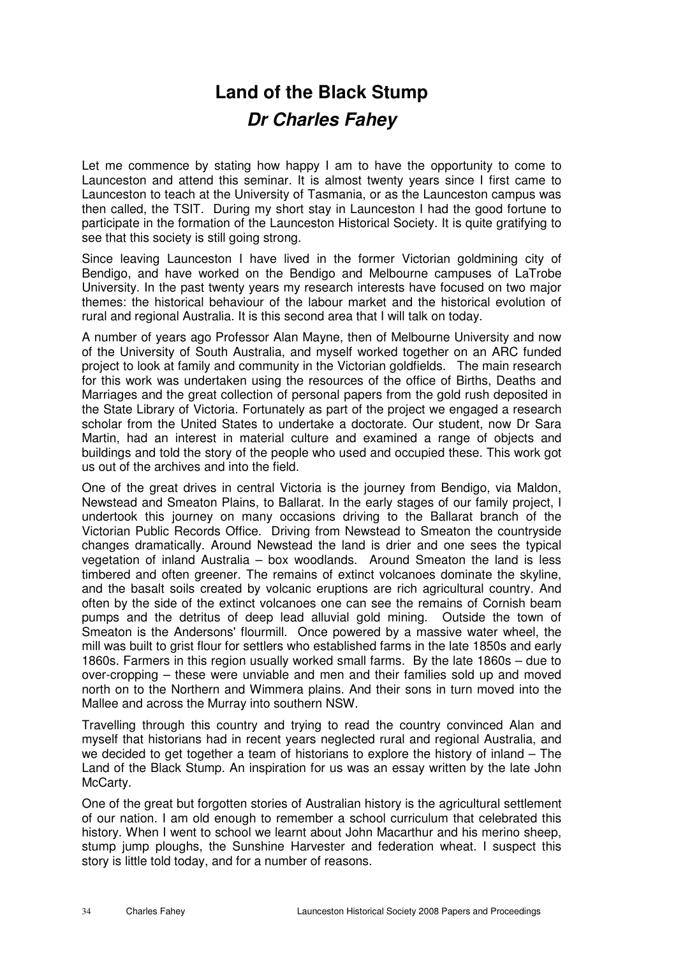## **Land of the Black Stump Dr Charles Fahey**

Let me commence by stating how happy I am to have the opportunity to come to Launceston and attend this seminar. It is almost twenty years since I first came to Launceston to teach at the University of Tasmania, or as the Launceston campus was then called, the TSIT. During my short stay in Launceston I had the good fortune to participate in the formation of the Launceston Historical Society. It is quite gratifying to see that this society is still going strong.

Since leaving Launceston I have lived in the former Victorian goldmining city of Bendigo, and have worked on the Bendigo and Melbourne campuses of LaTrobe University. In the past twenty years my research interests have focused on two major themes: the historical behaviour of the labour market and the historical evolution of rural and regional Australia. It is this second area that I will talk on today.

A number of years ago Professor Alan Mayne, then of Melbourne University and now of the University of South Australia, and myself worked together on an ARC funded project to look at family and community in the Victorian goldfields. The main research for this work was undertaken using the resources of the office of Births, Deaths and Marriages and the great collection of personal papers from the gold rush deposited in the State Library of Victoria. Fortunately as part of the project we engaged a research scholar from the United States to undertake a doctorate. Our student, now Dr Sara Martin, had an interest in material culture and examined a range of objects and buildings and told the story of the people who used and occupied these. This work got us out of the archives and into the field.

One of the great drives in central Victoria is the journey from Bendigo, via Maldon, Newstead and Smeaton Plains, to Ballarat. In the early stages of our family project, I undertook this journey on many occasions driving to the Ballarat branch of the Victorian Public Records Office. Driving from Newstead to Smeaton the countryside changes dramatically. Around Newstead the land is drier and one sees the typical vegetation of inland Australia – box woodlands. Around Smeaton the land is less timbered and often greener. The remains of extinct volcanoes dominate the skyline, and the basalt soils created by volcanic eruptions are rich agricultural country. And often by the side of the extinct volcanoes one can see the remains of Cornish beam pumps and the detritus of deep lead alluvial gold mining. Outside the town of Smeaton is the Andersons' flourmill. Once powered by a massive water wheel, the mill was built to grist flour for settlers who established farms in the late 1850s and early 1860s. Farmers in this region usually worked small farms. By the late 1860s – due to over-cropping – these were unviable and men and their families sold up and moved north on to the Northern and Wimmera plains. And their sons in turn moved into the Mallee and across the Murray into southern NSW.

Travelling through this country and trying to read the country convinced Alan and myself that historians had in recent years neglected rural and regional Australia, and we decided to get together a team of historians to explore the history of inland – The Land of the Black Stump. An inspiration for us was an essay written by the late John McCarty.

One of the great but forgotten stories of Australian history is the agricultural settlement of our nation. I am old enough to remember a school curriculum that celebrated this history. When I went to school we learnt about John Macarthur and his merino sheep, stump jump ploughs, the Sunshine Harvester and federation wheat. I suspect this story is little told today, and for a number of reasons.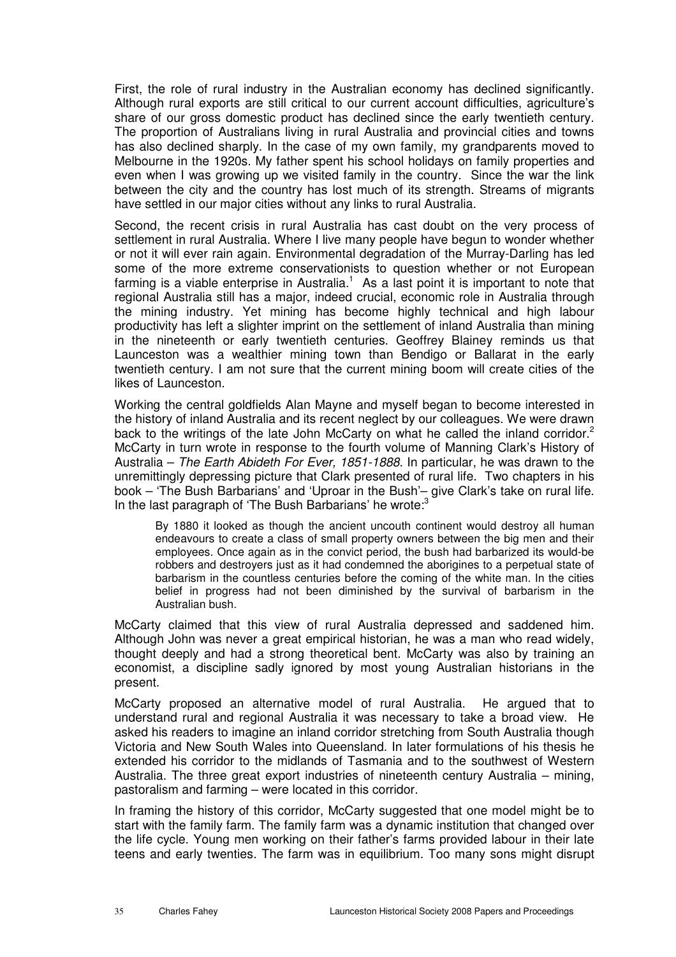First, the role of rural industry in the Australian economy has declined significantly. Although rural exports are still critical to our current account difficulties, agriculture's share of our gross domestic product has declined since the early twentieth century. The proportion of Australians living in rural Australia and provincial cities and towns has also declined sharply. In the case of my own family, my grandparents moved to Melbourne in the 1920s. My father spent his school holidays on family properties and even when I was growing up we visited family in the country. Since the war the link between the city and the country has lost much of its strength. Streams of migrants have settled in our major cities without any links to rural Australia.

Second, the recent crisis in rural Australia has cast doubt on the very process of settlement in rural Australia. Where I live many people have begun to wonder whether or not it will ever rain again. Environmental degradation of the Murray-Darling has led some of the more extreme conservationists to question whether or not European farming is a viable enterprise in Australia. $<sup>1</sup>$  As a last point it is important to note that</sup> regional Australia still has a major, indeed crucial, economic role in Australia through the mining industry. Yet mining has become highly technical and high labour productivity has left a slighter imprint on the settlement of inland Australia than mining in the nineteenth or early twentieth centuries. Geoffrey Blainey reminds us that Launceston was a wealthier mining town than Bendigo or Ballarat in the early twentieth century. I am not sure that the current mining boom will create cities of the likes of Launceston.

Working the central goldfields Alan Mayne and myself began to become interested in the history of inland Australia and its recent neglect by our colleagues. We were drawn back to the writings of the late John McCarty on what he called the inland corridor.<sup>2</sup> McCarty in turn wrote in response to the fourth volume of Manning Clark's History of Australia – The Earth Abideth For Ever, 1851-1888. In particular, he was drawn to the unremittingly depressing picture that Clark presented of rural life. Two chapters in his book – 'The Bush Barbarians' and 'Uproar in the Bush'– give Clark's take on rural life. In the last paragraph of 'The Bush Barbarians' he wrote:<sup>3</sup>

By 1880 it looked as though the ancient uncouth continent would destroy all human endeavours to create a class of small property owners between the big men and their employees. Once again as in the convict period, the bush had barbarized its would-be robbers and destroyers just as it had condemned the aborigines to a perpetual state of barbarism in the countless centuries before the coming of the white man. In the cities belief in progress had not been diminished by the survival of barbarism in the Australian bush.

McCarty claimed that this view of rural Australia depressed and saddened him. Although John was never a great empirical historian, he was a man who read widely, thought deeply and had a strong theoretical bent. McCarty was also by training an economist, a discipline sadly ignored by most young Australian historians in the present.

McCarty proposed an alternative model of rural Australia. He argued that to understand rural and regional Australia it was necessary to take a broad view. He asked his readers to imagine an inland corridor stretching from South Australia though Victoria and New South Wales into Queensland. In later formulations of his thesis he extended his corridor to the midlands of Tasmania and to the southwest of Western Australia. The three great export industries of nineteenth century Australia – mining, pastoralism and farming – were located in this corridor.

In framing the history of this corridor, McCarty suggested that one model might be to start with the family farm. The family farm was a dynamic institution that changed over the life cycle. Young men working on their father's farms provided labour in their late teens and early twenties. The farm was in equilibrium. Too many sons might disrupt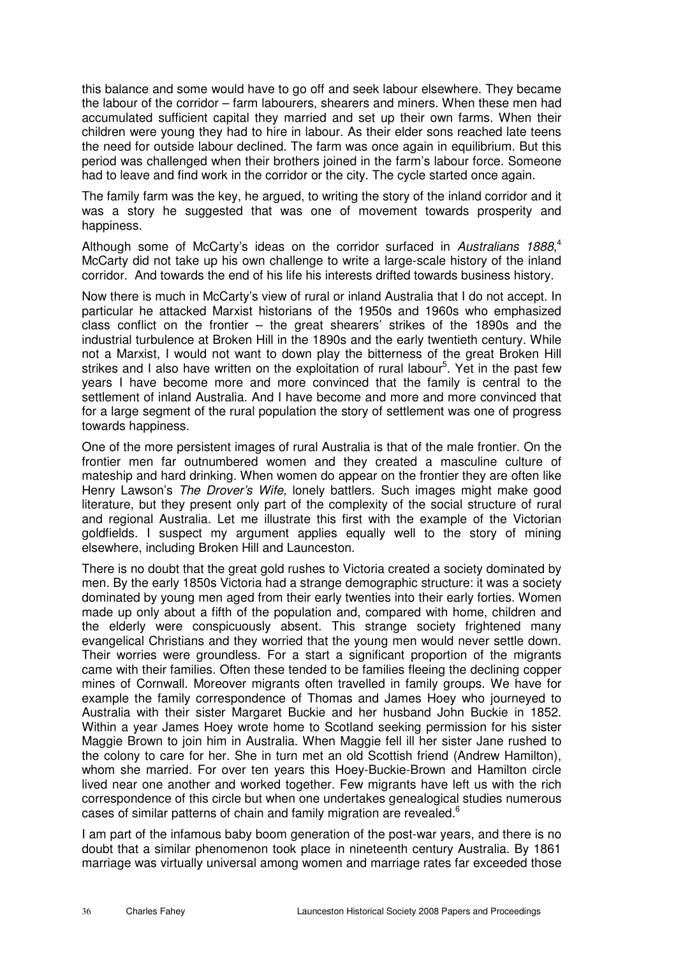this balance and some would have to go off and seek labour elsewhere. They became the labour of the corridor – farm labourers, shearers and miners. When these men had accumulated sufficient capital they married and set up their own farms. When their children were young they had to hire in labour. As their elder sons reached late teens the need for outside labour declined. The farm was once again in equilibrium. But this period was challenged when their brothers joined in the farm's labour force. Someone had to leave and find work in the corridor or the city. The cycle started once again.

The family farm was the key, he argued, to writing the story of the inland corridor and it was a story he suggested that was one of movement towards prosperity and happiness.

Although some of McCarty's ideas on the corridor surfaced in Australians 1888,<sup>4</sup> McCarty did not take up his own challenge to write a large-scale history of the inland corridor. And towards the end of his life his interests drifted towards business history.

Now there is much in McCarty's view of rural or inland Australia that I do not accept. In particular he attacked Marxist historians of the 1950s and 1960s who emphasized class conflict on the frontier – the great shearers' strikes of the 1890s and the industrial turbulence at Broken Hill in the 1890s and the early twentieth century. While not a Marxist, I would not want to down play the bitterness of the great Broken Hill strikes and I also have written on the exploitation of rural labour<sup>5</sup>. Yet in the past few years I have become more and more convinced that the family is central to the settlement of inland Australia. And I have become and more and more convinced that for a large segment of the rural population the story of settlement was one of progress towards happiness.

One of the more persistent images of rural Australia is that of the male frontier. On the frontier men far outnumbered women and they created a masculine culture of mateship and hard drinking. When women do appear on the frontier they are often like Henry Lawson's The Drover's Wife, lonely battlers. Such images might make good literature, but they present only part of the complexity of the social structure of rural and regional Australia. Let me illustrate this first with the example of the Victorian goldfields. I suspect my argument applies equally well to the story of mining elsewhere, including Broken Hill and Launceston.

There is no doubt that the great gold rushes to Victoria created a society dominated by men. By the early 1850s Victoria had a strange demographic structure: it was a society dominated by young men aged from their early twenties into their early forties. Women made up only about a fifth of the population and, compared with home, children and the elderly were conspicuously absent. This strange society frightened many evangelical Christians and they worried that the young men would never settle down. Their worries were groundless. For a start a significant proportion of the migrants came with their families. Often these tended to be families fleeing the declining copper mines of Cornwall. Moreover migrants often travelled in family groups. We have for example the family correspondence of Thomas and James Hoey who journeyed to Australia with their sister Margaret Buckie and her husband John Buckie in 1852. Within a year James Hoey wrote home to Scotland seeking permission for his sister Maggie Brown to join him in Australia. When Maggie fell ill her sister Jane rushed to the colony to care for her. She in turn met an old Scottish friend (Andrew Hamilton), whom she married. For over ten years this Hoey-Buckie-Brown and Hamilton circle lived near one another and worked together. Few migrants have left us with the rich correspondence of this circle but when one undertakes genealogical studies numerous cases of similar patterns of chain and family migration are revealed.<sup>6</sup>

I am part of the infamous baby boom generation of the post-war years, and there is no doubt that a similar phenomenon took place in nineteenth century Australia. By 1861 marriage was virtually universal among women and marriage rates far exceeded those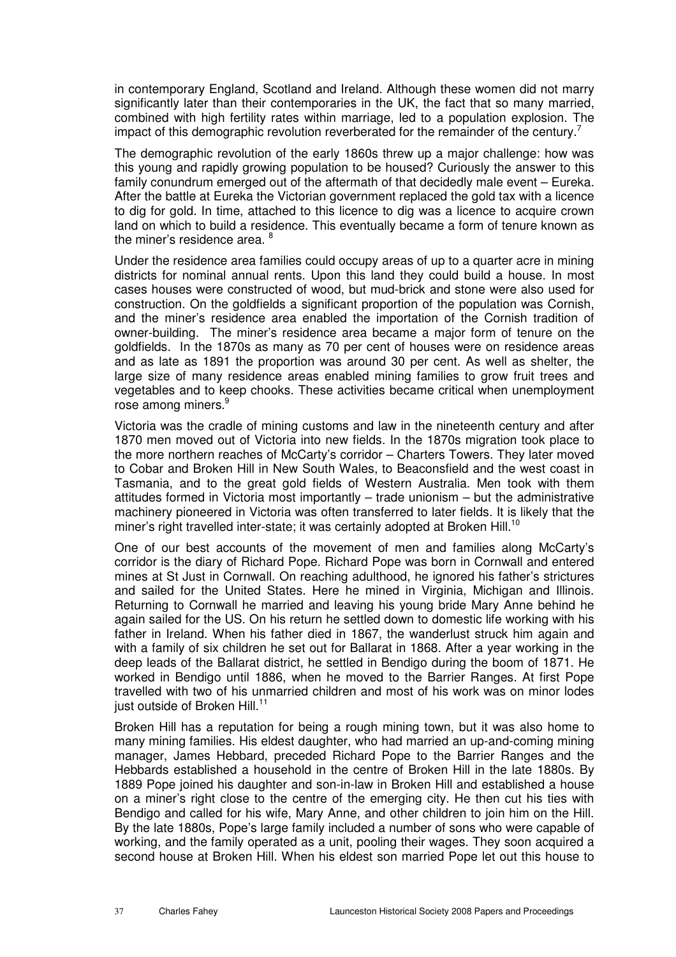in contemporary England, Scotland and Ireland. Although these women did not marry significantly later than their contemporaries in the UK, the fact that so many married, combined with high fertility rates within marriage, led to a population explosion. The impact of this demographic revolution reverberated for the remainder of the century.<sup>7</sup>

The demographic revolution of the early 1860s threw up a major challenge: how was this young and rapidly growing population to be housed? Curiously the answer to this family conundrum emerged out of the aftermath of that decidedly male event – Eureka. After the battle at Eureka the Victorian government replaced the gold tax with a licence to dig for gold. In time, attached to this licence to dig was a licence to acquire crown land on which to build a residence. This eventually became a form of tenure known as the miner's residence area. <sup>8</sup>

Under the residence area families could occupy areas of up to a quarter acre in mining districts for nominal annual rents. Upon this land they could build a house. In most cases houses were constructed of wood, but mud-brick and stone were also used for construction. On the goldfields a significant proportion of the population was Cornish, and the miner's residence area enabled the importation of the Cornish tradition of owner-building. The miner's residence area became a major form of tenure on the goldfields. In the 1870s as many as 70 per cent of houses were on residence areas and as late as 1891 the proportion was around 30 per cent. As well as shelter, the large size of many residence areas enabled mining families to grow fruit trees and vegetables and to keep chooks. These activities became critical when unemployment rose among miners.<sup>9</sup>

Victoria was the cradle of mining customs and law in the nineteenth century and after 1870 men moved out of Victoria into new fields. In the 1870s migration took place to the more northern reaches of McCarty's corridor – Charters Towers. They later moved to Cobar and Broken Hill in New South Wales, to Beaconsfield and the west coast in Tasmania, and to the great gold fields of Western Australia. Men took with them attitudes formed in Victoria most importantly – trade unionism – but the administrative machinery pioneered in Victoria was often transferred to later fields. It is likely that the miner's right travelled inter-state; it was certainly adopted at Broken Hill.<sup>10</sup>

One of our best accounts of the movement of men and families along McCarty's corridor is the diary of Richard Pope. Richard Pope was born in Cornwall and entered mines at St Just in Cornwall. On reaching adulthood, he ignored his father's strictures and sailed for the United States. Here he mined in Virginia, Michigan and Illinois. Returning to Cornwall he married and leaving his young bride Mary Anne behind he again sailed for the US. On his return he settled down to domestic life working with his father in Ireland. When his father died in 1867, the wanderlust struck him again and with a family of six children he set out for Ballarat in 1868. After a year working in the deep leads of the Ballarat district, he settled in Bendigo during the boom of 1871. He worked in Bendigo until 1886, when he moved to the Barrier Ranges. At first Pope travelled with two of his unmarried children and most of his work was on minor lodes just outside of Broken Hill. $11$ 

Broken Hill has a reputation for being a rough mining town, but it was also home to many mining families. His eldest daughter, who had married an up-and-coming mining manager, James Hebbard, preceded Richard Pope to the Barrier Ranges and the Hebbards established a household in the centre of Broken Hill in the late 1880s. By 1889 Pope joined his daughter and son-in-law in Broken Hill and established a house on a miner's right close to the centre of the emerging city. He then cut his ties with Bendigo and called for his wife, Mary Anne, and other children to join him on the Hill. By the late 1880s, Pope's large family included a number of sons who were capable of working, and the family operated as a unit, pooling their wages. They soon acquired a second house at Broken Hill. When his eldest son married Pope let out this house to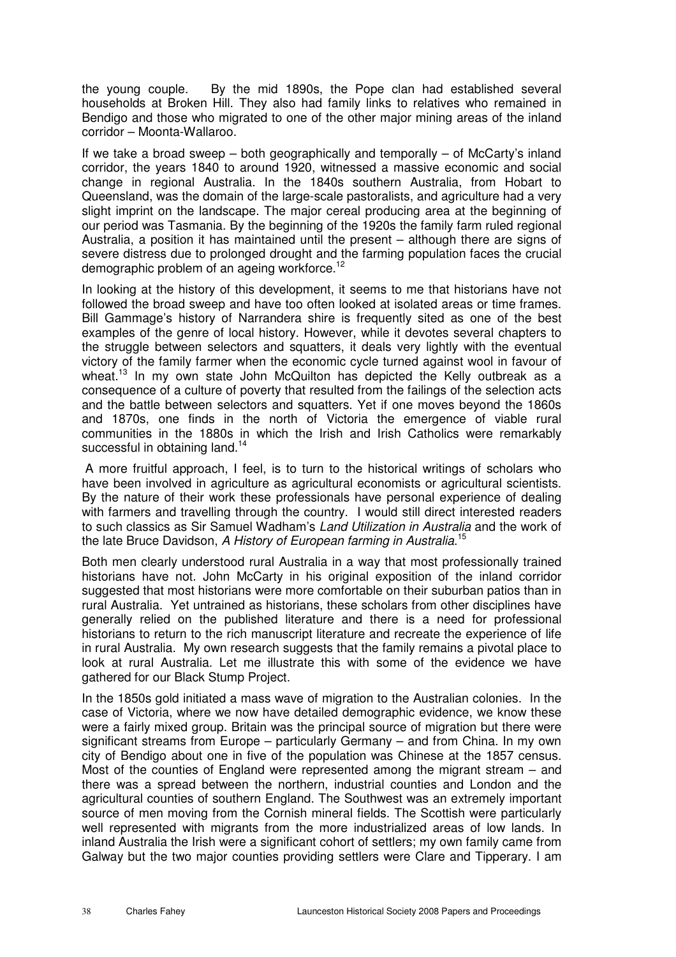the young couple. By the mid 1890s, the Pope clan had established several households at Broken Hill. They also had family links to relatives who remained in Bendigo and those who migrated to one of the other major mining areas of the inland corridor – Moonta-Wallaroo.

If we take a broad sweep – both geographically and temporally – of McCarty's inland corridor, the years 1840 to around 1920, witnessed a massive economic and social change in regional Australia. In the 1840s southern Australia, from Hobart to Queensland, was the domain of the large-scale pastoralists, and agriculture had a very slight imprint on the landscape. The major cereal producing area at the beginning of our period was Tasmania. By the beginning of the 1920s the family farm ruled regional Australia, a position it has maintained until the present – although there are signs of severe distress due to prolonged drought and the farming population faces the crucial demographic problem of an ageing workforce.<sup>12</sup>

In looking at the history of this development, it seems to me that historians have not followed the broad sweep and have too often looked at isolated areas or time frames. Bill Gammage's history of Narrandera shire is frequently sited as one of the best examples of the genre of local history. However, while it devotes several chapters to the struggle between selectors and squatters, it deals very lightly with the eventual victory of the family farmer when the economic cycle turned against wool in favour of wheat.<sup>13</sup> In my own state John McQuilton has depicted the Kelly outbreak as a consequence of a culture of poverty that resulted from the failings of the selection acts and the battle between selectors and squatters. Yet if one moves beyond the 1860s and 1870s, one finds in the north of Victoria the emergence of viable rural communities in the 1880s in which the Irish and Irish Catholics were remarkably successful in obtaining land.<sup>14</sup>

 A more fruitful approach, I feel, is to turn to the historical writings of scholars who have been involved in agriculture as agricultural economists or agricultural scientists. By the nature of their work these professionals have personal experience of dealing with farmers and travelling through the country. I would still direct interested readers to such classics as Sir Samuel Wadham's Land Utilization in Australia and the work of the late Bruce Davidson, A History of European farming in Australia.<sup>15</sup>

Both men clearly understood rural Australia in a way that most professionally trained historians have not. John McCarty in his original exposition of the inland corridor suggested that most historians were more comfortable on their suburban patios than in rural Australia. Yet untrained as historians, these scholars from other disciplines have generally relied on the published literature and there is a need for professional historians to return to the rich manuscript literature and recreate the experience of life in rural Australia. My own research suggests that the family remains a pivotal place to look at rural Australia. Let me illustrate this with some of the evidence we have gathered for our Black Stump Project.

In the 1850s gold initiated a mass wave of migration to the Australian colonies. In the case of Victoria, where we now have detailed demographic evidence, we know these were a fairly mixed group. Britain was the principal source of migration but there were significant streams from Europe – particularly Germany – and from China. In my own city of Bendigo about one in five of the population was Chinese at the 1857 census. Most of the counties of England were represented among the migrant stream – and there was a spread between the northern, industrial counties and London and the agricultural counties of southern England. The Southwest was an extremely important source of men moving from the Cornish mineral fields. The Scottish were particularly well represented with migrants from the more industrialized areas of low lands. In inland Australia the Irish were a significant cohort of settlers; my own family came from Galway but the two major counties providing settlers were Clare and Tipperary. I am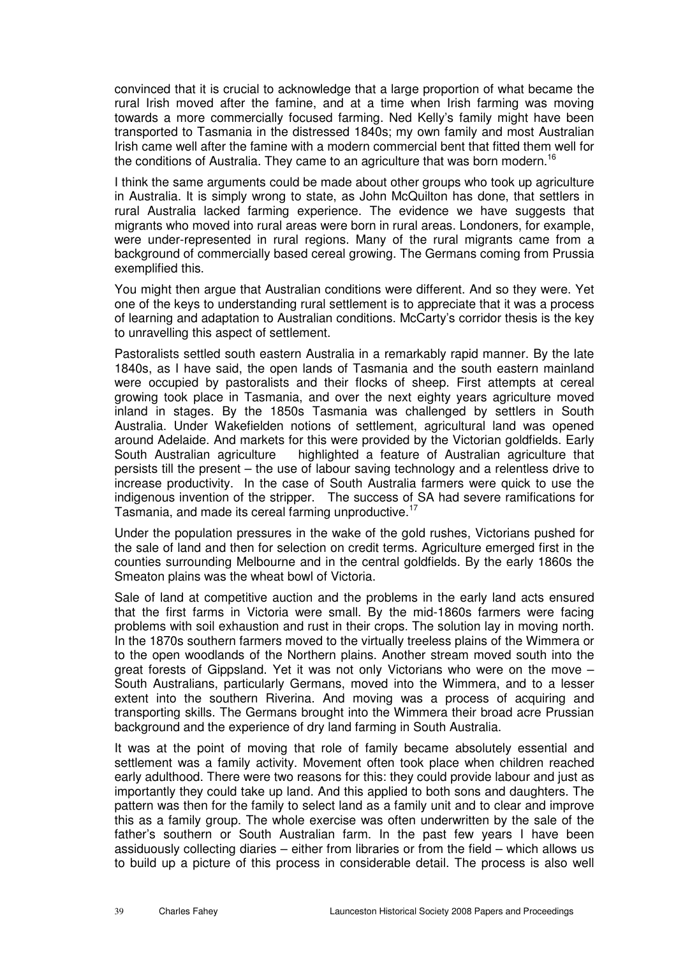convinced that it is crucial to acknowledge that a large proportion of what became the rural Irish moved after the famine, and at a time when Irish farming was moving towards a more commercially focused farming. Ned Kelly's family might have been transported to Tasmania in the distressed 1840s; my own family and most Australian Irish came well after the famine with a modern commercial bent that fitted them well for the conditions of Australia. They came to an agriculture that was born modern.<sup>16</sup>

I think the same arguments could be made about other groups who took up agriculture in Australia. It is simply wrong to state, as John McQuilton has done, that settlers in rural Australia lacked farming experience. The evidence we have suggests that migrants who moved into rural areas were born in rural areas. Londoners, for example, were under-represented in rural regions. Many of the rural migrants came from a background of commercially based cereal growing. The Germans coming from Prussia exemplified this.

You might then argue that Australian conditions were different. And so they were. Yet one of the keys to understanding rural settlement is to appreciate that it was a process of learning and adaptation to Australian conditions. McCarty's corridor thesis is the key to unravelling this aspect of settlement.

Pastoralists settled south eastern Australia in a remarkably rapid manner. By the late 1840s, as I have said, the open lands of Tasmania and the south eastern mainland were occupied by pastoralists and their flocks of sheep. First attempts at cereal growing took place in Tasmania, and over the next eighty years agriculture moved inland in stages. By the 1850s Tasmania was challenged by settlers in South Australia. Under Wakefielden notions of settlement, agricultural land was opened around Adelaide. And markets for this were provided by the Victorian goldfields. Early South Australian agriculture highlighted a feature of Australian agriculture that persists till the present – the use of labour saving technology and a relentless drive to increase productivity. In the case of South Australia farmers were quick to use the indigenous invention of the stripper. The success of SA had severe ramifications for Tasmania, and made its cereal farming unproductive.<sup>17</sup>

Under the population pressures in the wake of the gold rushes, Victorians pushed for the sale of land and then for selection on credit terms. Agriculture emerged first in the counties surrounding Melbourne and in the central goldfields. By the early 1860s the Smeaton plains was the wheat bowl of Victoria.

Sale of land at competitive auction and the problems in the early land acts ensured that the first farms in Victoria were small. By the mid-1860s farmers were facing problems with soil exhaustion and rust in their crops. The solution lay in moving north. In the 1870s southern farmers moved to the virtually treeless plains of the Wimmera or to the open woodlands of the Northern plains. Another stream moved south into the great forests of Gippsland. Yet it was not only Victorians who were on the move – South Australians, particularly Germans, moved into the Wimmera, and to a lesser extent into the southern Riverina. And moving was a process of acquiring and transporting skills. The Germans brought into the Wimmera their broad acre Prussian background and the experience of dry land farming in South Australia.

It was at the point of moving that role of family became absolutely essential and settlement was a family activity. Movement often took place when children reached early adulthood. There were two reasons for this: they could provide labour and just as importantly they could take up land. And this applied to both sons and daughters. The pattern was then for the family to select land as a family unit and to clear and improve this as a family group. The whole exercise was often underwritten by the sale of the father's southern or South Australian farm. In the past few years I have been assiduously collecting diaries – either from libraries or from the field – which allows us to build up a picture of this process in considerable detail. The process is also well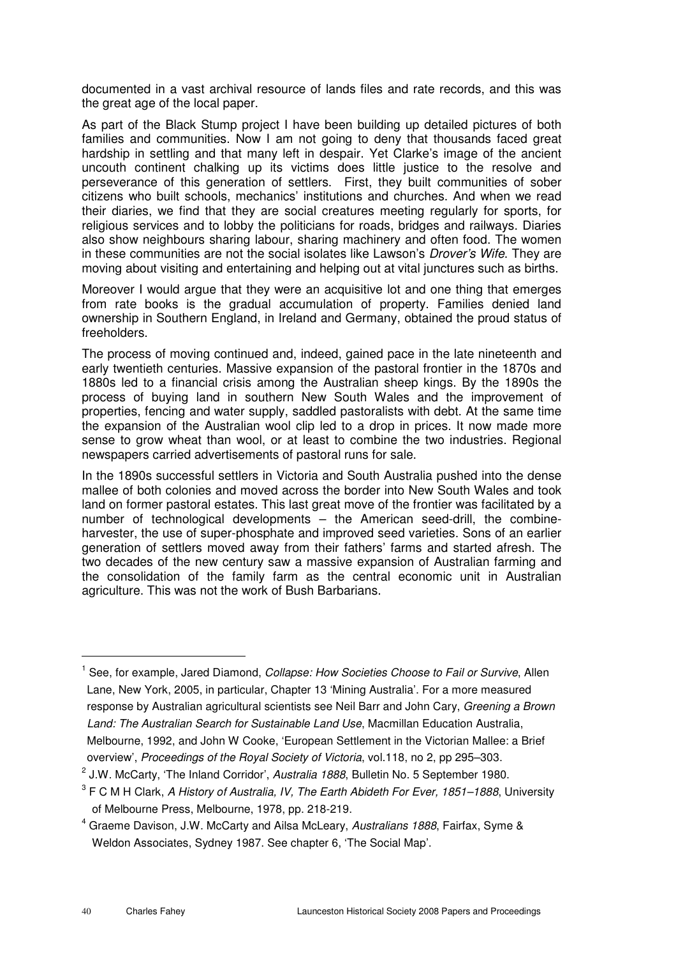documented in a vast archival resource of lands files and rate records, and this was the great age of the local paper.

As part of the Black Stump project I have been building up detailed pictures of both families and communities. Now I am not going to deny that thousands faced great hardship in settling and that many left in despair. Yet Clarke's image of the ancient uncouth continent chalking up its victims does little justice to the resolve and perseverance of this generation of settlers. First, they built communities of sober citizens who built schools, mechanics' institutions and churches. And when we read their diaries, we find that they are social creatures meeting regularly for sports, for religious services and to lobby the politicians for roads, bridges and railways. Diaries also show neighbours sharing labour, sharing machinery and often food. The women in these communities are not the social isolates like Lawson's *Drover's Wife*. They are moving about visiting and entertaining and helping out at vital junctures such as births.

Moreover I would argue that they were an acquisitive lot and one thing that emerges from rate books is the gradual accumulation of property. Families denied land ownership in Southern England, in Ireland and Germany, obtained the proud status of freeholders.

The process of moving continued and, indeed, gained pace in the late nineteenth and early twentieth centuries. Massive expansion of the pastoral frontier in the 1870s and 1880s led to a financial crisis among the Australian sheep kings. By the 1890s the process of buying land in southern New South Wales and the improvement of properties, fencing and water supply, saddled pastoralists with debt. At the same time the expansion of the Australian wool clip led to a drop in prices. It now made more sense to grow wheat than wool, or at least to combine the two industries. Regional newspapers carried advertisements of pastoral runs for sale.

In the 1890s successful settlers in Victoria and South Australia pushed into the dense mallee of both colonies and moved across the border into New South Wales and took land on former pastoral estates. This last great move of the frontier was facilitated by a number of technological developments – the American seed-drill, the combineharvester, the use of super-phosphate and improved seed varieties. Sons of an earlier generation of settlers moved away from their fathers' farms and started afresh. The two decades of the new century saw a massive expansion of Australian farming and the consolidation of the family farm as the central economic unit in Australian agriculture. This was not the work of Bush Barbarians.

l.

<sup>1</sup> See, for example, Jared Diamond, Collapse: How Societies Choose to Fail or Survive, Allen Lane, New York, 2005, in particular, Chapter 13 'Mining Australia'. For a more measured response by Australian agricultural scientists see Neil Barr and John Cary, Greening a Brown Land: The Australian Search for Sustainable Land Use, Macmillan Education Australia, Melbourne, 1992, and John W Cooke, 'European Settlement in the Victorian Mallee: a Brief overview', Proceedings of the Royal Society of Victoria, vol.118, no 2, pp 295–303.

 $2$  J.W. McCarty, 'The Inland Corridor', Australia 1888, Bulletin No. 5 September 1980.

 $^3$  F C M H Clark, *A History of Australia, IV, The Earth Abideth For Ever, 1851–1888*, University of Melbourne Press, Melbourne, 1978, pp. 218-219.

<sup>&</sup>lt;sup>4</sup> Graeme Davison, J.W. McCarty and Ailsa McLeary, Australians 1888, Fairfax, Syme & Weldon Associates, Sydney 1987. See chapter 6, 'The Social Map'.